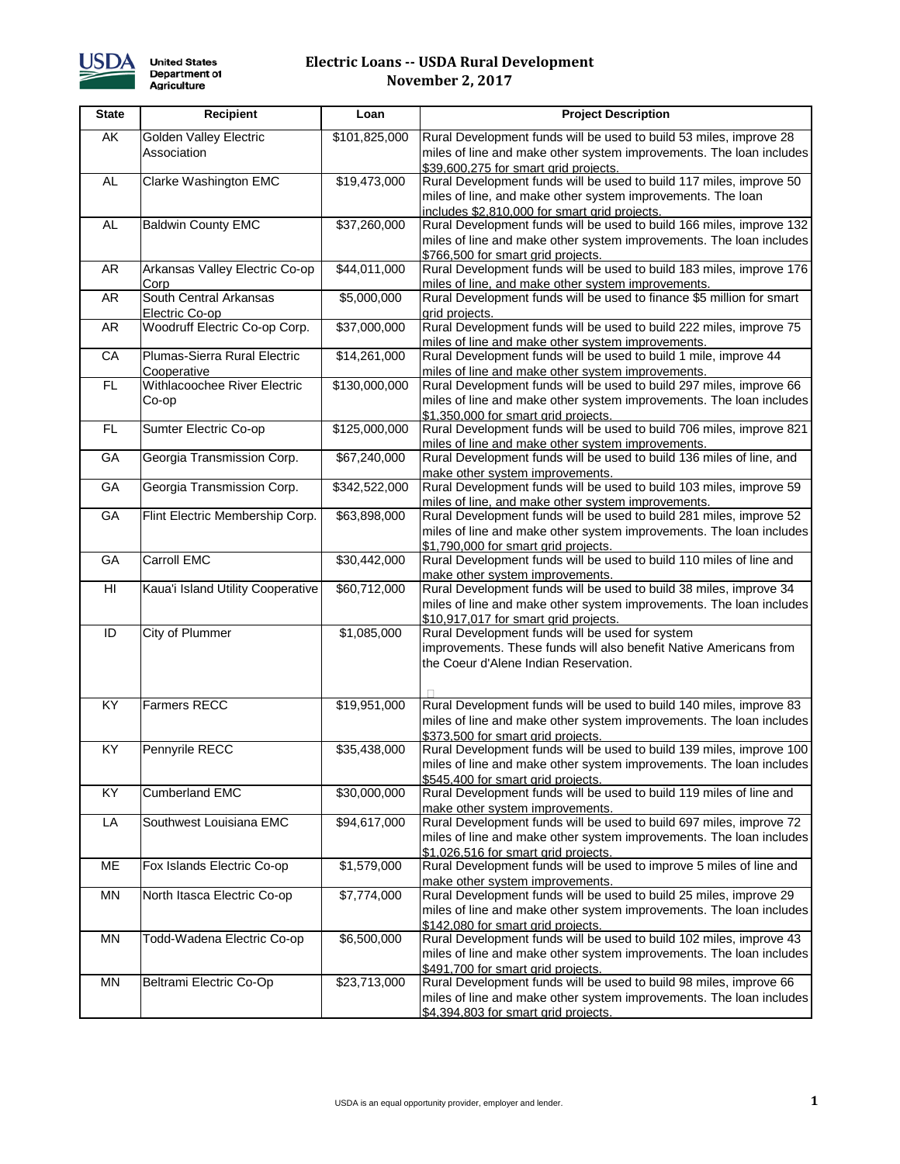

## **Electric Loans -- USDA Rural Development November 2, 2017**

| <b>State</b>    | <b>Recipient</b>                             | Loan                     | <b>Project Description</b>                                                                                                                                                          |
|-----------------|----------------------------------------------|--------------------------|-------------------------------------------------------------------------------------------------------------------------------------------------------------------------------------|
| AK              | <b>Golden Valley Electric</b><br>Association | \$101,825,000            | Rural Development funds will be used to build 53 miles, improve 28<br>miles of line and make other system improvements. The loan includes<br>\$39,600,275 for smart grid projects.  |
| <b>AL</b>       | Clarke Washington EMC                        | \$19,473,000             | Rural Development funds will be used to build 117 miles, improve 50<br>miles of line, and make other system improvements. The loan<br>includes \$2,810,000 for smart grid projects. |
| <b>AL</b>       | <b>Baldwin County EMC</b>                    | \$37,260,000             | Rural Development funds will be used to build 166 miles, improve 132<br>miles of line and make other system improvements. The loan includes<br>\$766,500 for smart grid projects.   |
| AR              | Arkansas Valley Electric Co-op<br>Corp       | \$44,011,000             | Rural Development funds will be used to build 183 miles, improve 176<br>miles of line, and make other system improvements.                                                          |
| AR              | South Central Arkansas<br>Electric Co-op     | \$5,000,000              | Rural Development funds will be used to finance \$5 million for smart<br>grid projects.                                                                                             |
| AR              | Woodruff Electric Co-op Corp.                | $\overline{$37,000,000}$ | Rural Development funds will be used to build 222 miles, improve 75<br>miles of line and make other system improvements.                                                            |
| CA              | Plumas-Sierra Rural Electric<br>Cooperative  | \$14,261,000             | Rural Development funds will be used to build 1 mile, improve 44<br>miles of line and make other system improvements.                                                               |
| FL.             | Withlacoochee River Electric<br>Co-op        | \$130,000,000            | Rural Development funds will be used to build 297 miles, improve 66<br>miles of line and make other system improvements. The loan includes<br>\$1,350,000 for smart grid projects.  |
| FL.             | Sumter Electric Co-op                        | \$125,000,000            | Rural Development funds will be used to build 706 miles, improve 821<br>miles of line and make other system improvements.                                                           |
| GA              | Georgia Transmission Corp.                   | $\overline{$67,240,000}$ | Rural Development funds will be used to build 136 miles of line, and<br>make other system improvements.                                                                             |
| GA              | Georgia Transmission Corp.                   | \$342,522,000            | Rural Development funds will be used to build 103 miles, improve 59<br>miles of line, and make other system improvements.                                                           |
| GA              | Flint Electric Membership Corp.              | \$63,898,000             | Rural Development funds will be used to build 281 miles, improve 52<br>miles of line and make other system improvements. The loan includes<br>\$1,790,000 for smart grid projects.  |
| GA              | <b>Carroll EMC</b>                           | \$30,442,000             | Rural Development funds will be used to build 110 miles of line and<br>make other system improvements.                                                                              |
| HI              | Kaua'i Island Utility Cooperative            | \$60,712,000             | Rural Development funds will be used to build 38 miles, improve 34<br>miles of line and make other system improvements. The loan includes<br>\$10,917,017 for smart grid projects.  |
| ID              | City of Plummer                              | \$1,085,000              | Rural Development funds will be used for system<br>improvements. These funds will also benefit Native Americans from<br>the Coeur d'Alene Indian Reservation.                       |
| KY.             | <b>Farmers RECC</b>                          | \$19,951,000             | Rural Development funds will be used to build 140 miles, improve 83<br>miles of line and make other system improvements. The loan includes<br>\$373,500 for smart grid projects.    |
| $\overline{KY}$ | Pennyrile RECC                               | \$35,438,000             | Rural Development funds will be used to build 139 miles, improve 100<br>miles of line and make other system improvements. The loan includes<br>\$545,400 for smart grid projects.   |
| KY              | <b>Cumberland EMC</b>                        | \$30,000,000             | Rural Development funds will be used to build 119 miles of line and<br>make other system improvements.                                                                              |
| LA              | Southwest Louisiana EMC                      | \$94,617,000             | Rural Development funds will be used to build 697 miles, improve 72<br>miles of line and make other system improvements. The loan includes<br>\$1,026,516 for smart grid projects.  |
| ME              | Fox Islands Electric Co-op                   | \$1,579,000              | Rural Development funds will be used to improve 5 miles of line and<br>make other system improvements.                                                                              |
| MN              | North Itasca Electric Co-op                  | \$7,774,000              | Rural Development funds will be used to build 25 miles, improve 29<br>miles of line and make other system improvements. The loan includes<br>\$142,080 for smart grid projects.     |
| MN              | Todd-Wadena Electric Co-op                   | \$6,500,000              | Rural Development funds will be used to build 102 miles, improve 43<br>miles of line and make other system improvements. The loan includes<br>\$491,700 for smart grid projects.    |
| MN              | Beltrami Electric Co-Op                      | \$23,713,000             | Rural Development funds will be used to build 98 miles, improve 66<br>miles of line and make other system improvements. The loan includes<br>\$4,394,803 for smart grid projects.   |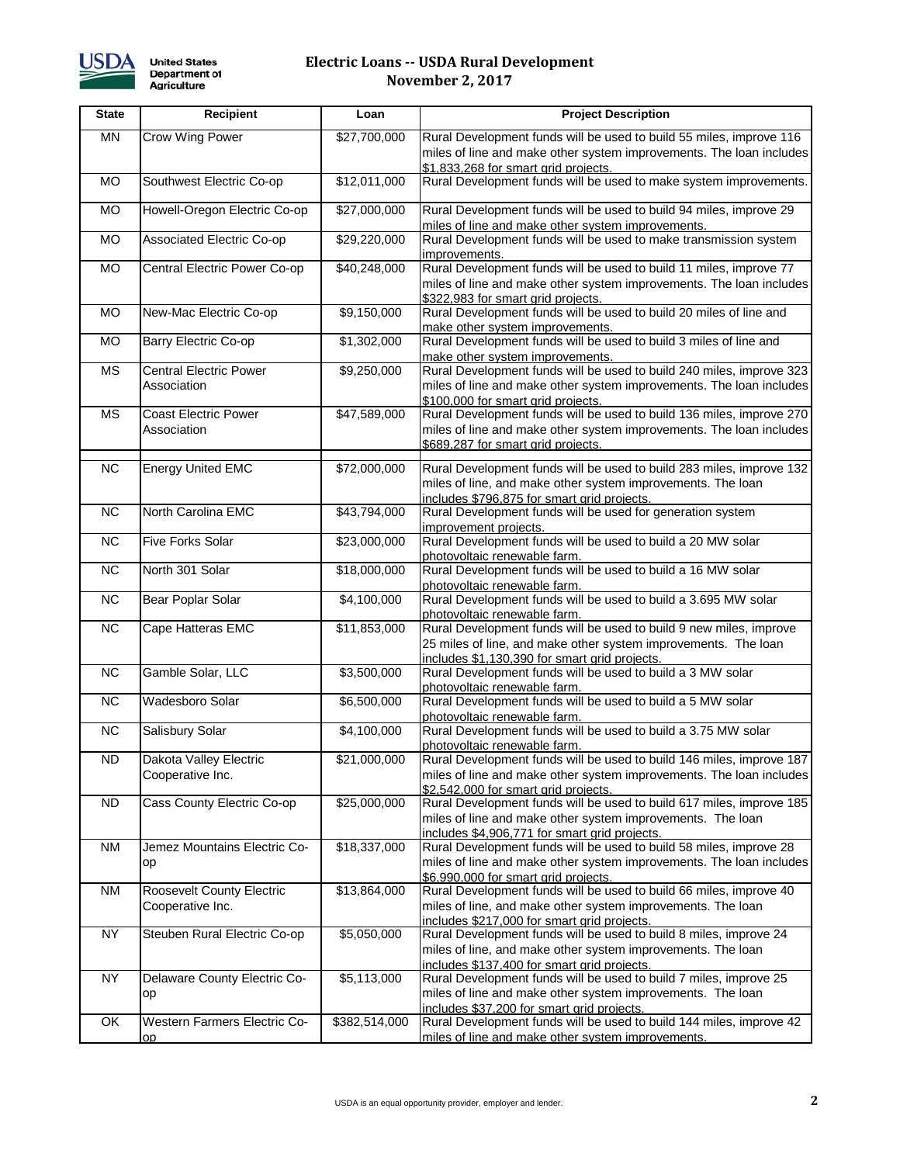

## **Electric Loans -- USDA Rural Development November 2, 2017**

| <b>State</b> | Recipient                           | Loan          | <b>Project Description</b>                                                                                       |
|--------------|-------------------------------------|---------------|------------------------------------------------------------------------------------------------------------------|
| MN           | Crow Wing Power                     | \$27,700,000  | Rural Development funds will be used to build 55 miles, improve 116                                              |
|              |                                     |               | miles of line and make other system improvements. The loan includes                                              |
|              |                                     |               | \$1,833,268 for smart grid projects.                                                                             |
| <b>MO</b>    | Southwest Electric Co-op            | \$12,011,000  | Rural Development funds will be used to make system improvements.                                                |
| <b>MO</b>    | Howell-Oregon Electric Co-op        | \$27,000,000  | Rural Development funds will be used to build 94 miles, improve 29                                               |
|              |                                     |               | miles of line and make other system improvements.                                                                |
| MO.          | Associated Electric Co-op           | \$29,220,000  | Rural Development funds will be used to make transmission system                                                 |
|              |                                     |               | improvements.                                                                                                    |
| <b>MO</b>    | Central Electric Power Co-op        | \$40,248,000  | Rural Development funds will be used to build 11 miles, improve 77                                               |
|              |                                     |               | miles of line and make other system improvements. The loan includes                                              |
| MO.          | New-Mac Electric Co-op              | \$9,150,000   | \$322,983 for smart grid projects.<br>Rural Development funds will be used to build 20 miles of line and         |
|              |                                     |               | make other system improvements.                                                                                  |
| <b>MO</b>    | Barry Electric Co-op                | \$1,302,000   | Rural Development funds will be used to build 3 miles of line and                                                |
|              |                                     |               | make other system improvements.                                                                                  |
| <b>MS</b>    | <b>Central Electric Power</b>       | \$9,250,000   | Rural Development funds will be used to build 240 miles, improve 323                                             |
|              | Association                         |               | miles of line and make other system improvements. The loan includes                                              |
|              |                                     |               | \$100,000 for smart grid projects.                                                                               |
| <b>MS</b>    | <b>Coast Electric Power</b>         | \$47,589,000  | Rural Development funds will be used to build 136 miles, improve 270                                             |
|              | Association                         |               | miles of line and make other system improvements. The loan includes<br>\$689,287 for smart grid projects.        |
|              |                                     |               |                                                                                                                  |
| <b>NC</b>    | <b>Energy United EMC</b>            | \$72,000,000  | Rural Development funds will be used to build 283 miles, improve 132                                             |
|              |                                     |               | miles of line, and make other system improvements. The loan                                                      |
|              |                                     |               | includes \$796,875 for smart grid projects.                                                                      |
| <b>NC</b>    | North Carolina EMC                  | \$43,794,000  | Rural Development funds will be used for generation system                                                       |
| <b>NC</b>    | <b>Five Forks Solar</b>             | \$23,000,000  | improvement projects.<br>Rural Development funds will be used to build a 20 MW solar                             |
|              |                                     |               | photovoltaic renewable farm.                                                                                     |
| <b>NC</b>    | North 301 Solar                     | \$18,000,000  | Rural Development funds will be used to build a 16 MW solar                                                      |
|              |                                     |               | photovoltaic renewable farm.                                                                                     |
| <b>NC</b>    | Bear Poplar Solar                   | \$4,100,000   | Rural Development funds will be used to build a 3.695 MW solar                                                   |
|              |                                     |               | photovoltaic renewable farm.                                                                                     |
| <b>NC</b>    | Cape Hatteras EMC                   | \$11,853,000  | Rural Development funds will be used to build 9 new miles, improve                                               |
|              |                                     |               | 25 miles of line, and make other system improvements. The loan                                                   |
| <b>NC</b>    | Gamble Solar, LLC                   | \$3,500,000   | includes \$1,130,390 for smart grid projects.<br>Rural Development funds will be used to build a 3 MW solar      |
|              |                                     |               | photovoltaic renewable farm.                                                                                     |
| <b>NC</b>    | Wadesboro Solar                     | \$6,500,000   | Rural Development funds will be used to build a 5 MW solar                                                       |
|              |                                     |               | photovoltaic renewable farm.                                                                                     |
| <b>NC</b>    | Salisbury Solar                     | \$4,100,000   | Rural Development funds will be used to build a 3.75 MW solar                                                    |
|              |                                     |               | photovoltaic renewable farm.                                                                                     |
| ND.          | Dakota Valley Electric              | \$21,000,000  | Rural Development funds will be used to build 146 miles, improve 187                                             |
|              | Cooperative Inc.                    |               | miles of line and make other system improvements. The loan includes                                              |
| <b>ND</b>    | Cass County Electric Co-op          | \$25,000,000  | \$2,542,000 for smart grid projects.<br>Rural Development funds will be used to build 617 miles, improve 185     |
|              |                                     |               | miles of line and make other system improvements. The loan                                                       |
|              |                                     |               | includes \$4,906,771 for smart grid projects.                                                                    |
| <b>NM</b>    | Jemez Mountains Electric Co-        | \$18,337,000  | Rural Development funds will be used to build 58 miles, improve 28                                               |
|              | op                                  |               | miles of line and make other system improvements. The loan includes                                              |
|              |                                     |               | \$6,990,000 for smart grid projects.                                                                             |
| NM           | Roosevelt County Electric           | \$13,864,000  | Rural Development funds will be used to build 66 miles, improve 40                                               |
|              | Cooperative Inc.                    |               | miles of line, and make other system improvements. The loan                                                      |
| <b>NY</b>    | Steuben Rural Electric Co-op        | \$5,050,000   | includes \$217,000 for smart grid projects.<br>Rural Development funds will be used to build 8 miles, improve 24 |
|              |                                     |               | miles of line, and make other system improvements. The loan                                                      |
|              |                                     |               | includes \$137,400 for smart grid projects.                                                                      |
| <b>NY</b>    | Delaware County Electric Co-        | \$5,113,000   | Rural Development funds will be used to build 7 miles, improve 25                                                |
|              | op                                  |               | miles of line and make other system improvements. The loan                                                       |
|              |                                     |               | includes \$37,200 for smart grid projects.                                                                       |
| OK           | <b>Western Farmers Electric Co-</b> | \$382,514,000 | Rural Development funds will be used to build 144 miles, improve 42                                              |
|              | 0D                                  |               | miles of line and make other system improvements.                                                                |